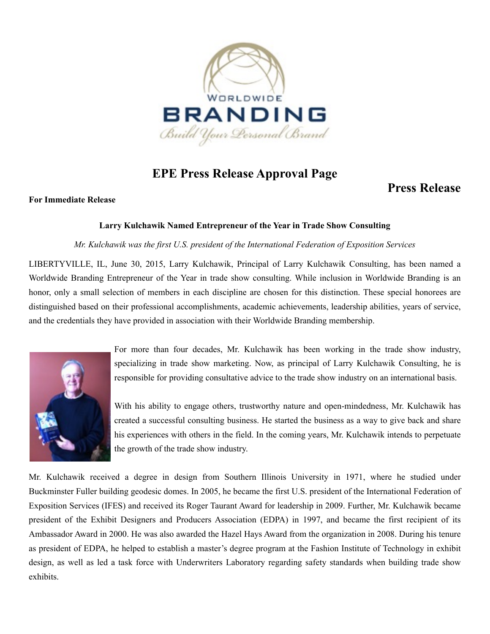

# **EPE Press Release Approval Page**

# **Press Release**

#### **For Immediate Release**

## **Larry Kulchawik Named Entrepreneur of the Year in Trade Show Consulting**

#### *Mr. Kulchawik was the first U.S. president of the International Federation of Exposition Services*

LIBERTYVILLE, IL, June 30, 2015, Larry Kulchawik, Principal of Larry Kulchawik Consulting, has been named a Worldwide Branding Entrepreneur of the Year in trade show consulting. While inclusion in Worldwide Branding is an honor, only a small selection of members in each discipline are chosen for this distinction. These special honorees are distinguished based on their professional accomplishments, academic achievements, leadership abilities, years of service, and the credentials they have provided in association with their Worldwide Branding membership.



For more than four decades, Mr. Kulchawik has been working in the trade show industry, specializing in trade show marketing. Now, as principal of Larry Kulchawik Consulting, he is responsible for providing consultative advice to the trade show industry on an international basis.

With his ability to engage others, trustworthy nature and open-mindedness, Mr. Kulchawik has created a successful consulting business. He started the business as a way to give back and share his experiences with others in the field. In the coming years, Mr. Kulchawik intends to perpetuate the growth of the trade show industry.

Mr. Kulchawik received a degree in design from Southern Illinois University in 1971, where he studied under Buckminster Fuller building geodesic domes. In 2005, he became the first U.S. president of the International Federation of Exposition Services (IFES) and received its Roger Taurant Award for leadership in 2009. Further, Mr. Kulchawik became president of the Exhibit Designers and Producers Association (EDPA) in 1997, and became the first recipient of its Ambassador Award in 2000. He was also awarded the Hazel Hays Award from the organization in 2008. During his tenure as president of EDPA, he helped to establish a master's degree program at the Fashion Institute of Technology in exhibit design, as well as led a task force with Underwriters Laboratory regarding safety standards when building trade show exhibits.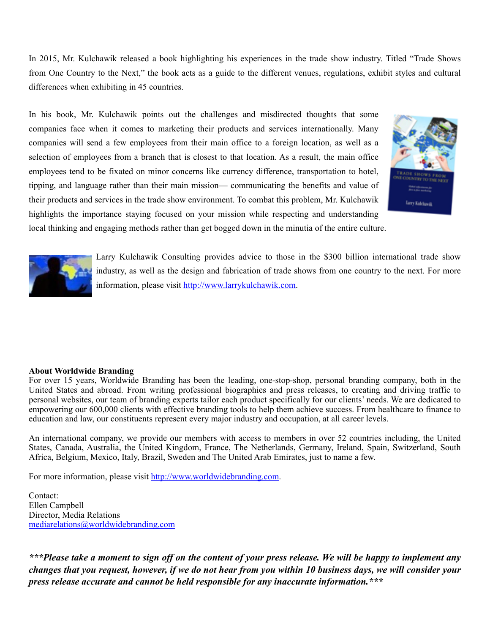In 2015, Mr. Kulchawik released a book highlighting his experiences in the trade show industry. Titled "Trade Shows from One Country to the Next," the book acts as a guide to the different venues, regulations, exhibit styles and cultural differences when exhibiting in 45 countries.

In his book, Mr. Kulchawik points out the challenges and misdirected thoughts that some companies face when it comes to marketing their products and services internationally. Many companies will send a few employees from their main office to a foreign location, as well as a selection of employees from a branch that is closest to that location. As a result, the main office employees tend to be fixated on minor concerns like currency difference, transportation to hotel, tipping, and language rather than their main mission— communicating the benefits and value of their products and services in the trade show environment. To combat this problem, Mr. Kulchawik highlights the importance staying focused on your mission while respecting and understanding local thinking and engaging methods rather than get bogged down in the minutia of the entire culture.





Larry Kulchawik Consulting provides advice to those in the \$300 billion international trade show industry, as well as the design and fabrication of trade shows from one country to the next. For more information, please visit [http://www.larrykulchawik.com.](http://www.larrykulchawik.com)

## **About Worldwide Branding**

For over 15 years, Worldwide Branding has been the leading, one-stop-shop, personal branding company, both in the United States and abroad. From writing professional biographies and press releases, to creating and driving traffic to personal websites, our team of branding experts tailor each product specifically for our clients' needs. We are dedicated to empowering our 600,000 clients with effective branding tools to help them achieve success. From healthcare to finance to education and law, our constituents represent every major industry and occupation, at all career levels.

An international company, we provide our members with access to members in over 52 countries including, the United States, Canada, Australia, the United Kingdom, France, The Netherlands, Germany, Ireland, Spain, Switzerland, South Africa, Belgium, Mexico, Italy, Brazil, Sweden and The United Arab Emirates, just to name a few.

For more information, please visit [http://www.worldwidebranding.com.](http://www.worldwidebranding.com)

Contact: Ellen Campbell Director, Media Relations [mediarelations@worldwidebranding.com](mailto:mediarelations@worldwidebranding.com)

*\*\*\*Please take a moment to sign off on the content of your press release. We will be happy to implement any changes that you request, however, if we do not hear from you within 10 business days, we will consider your press release accurate and cannot be held responsible for any inaccurate information.\*\*\**